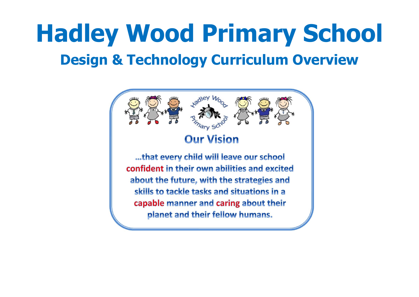# **Hadley Wood Primary School Design & Technology Curriculum Overview**

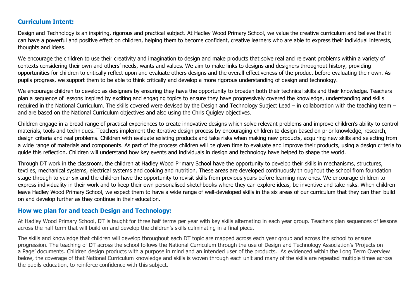### **Curriculum Intent:**

Design and Technology is an inspiring, rigorous and practical subject. At Hadley Wood Primary School, we value the creative curriculum and believe that it can have a powerful and positive effect on children, helping them to become confident, creative learners who are able to express their individual interests, thoughts and ideas.

We encourage the children to use their creativity and imagination to design and make products that solve real and relevant problems within a variety of contexts considering their own and others' needs, wants and values. We aim to make links to designs and designers throughout history, providing opportunities for children to critically reflect upon and evaluate others designs and the overall effectiveness of the product before evaluating their own. As pupils progress, we support them to be able to think critically and develop a more rigorous understanding of design and technology.

We encourage children to develop as designers by ensuring they have the opportunity to broaden both their technical skills and their knowledge. Teachers plan a sequence of lessons inspired by exciting and engaging topics to ensure they have progressively covered the knowledge, understanding and skills required in the National Curriculum. The skills covered were devised by the Design and Technology Subject Lead – in collaboration with the teaching team – and are based on the National Curriculum objectives and also using the Chris Quigley objectives.

Children engage in a broad range of practical experiences to create innovative designs which solve relevant problems and improve children's ability to control materials, tools and techniques. Teachers implement the iterative design process by encouraging children to design based on prior knowledge, research, design criteria and real problems. Children with evaluate existing products and take risks when making new products, acquiring new skills and selecting from a wide range of materials and components. As part of the process children will be given time to evaluate and improve their products, using a design criteria to guide this reflection. Children will understand how key events and individuals in design and technology have helped to shape the world.

Through DT work in the classroom, the children at Hadley Wood Primary School have the opportunity to develop their skills in mechanisms, structures, textiles, mechanical systems, electrical systems and cooking and nutrition. These areas are developed continuously throughout the school from foundation stage through to year six and the children have the opportunity to revisit skills from previous years before learning new ones. We encourage children to express individuality in their work and to keep their own personalised sketchbooks where they can explore ideas, be inventive and take risks. When children leave Hadley Wood Primary School, we expect them to have a wide range of well-developed skills in the six areas of our curriculum that they can then build on and develop further as they continue in their education.

## **How we plan for and teach Design and Technology:**

At Hadley Wood Primary School, DT is taught for three half terms per year with key skills alternating in each year group. Teachers plan sequences of lessons across the half term that will build on and develop the children's skills culminating in a final piece.

The skills and knowledge that children will develop throughout each DT topic are mapped across each year group and across the school to ensure progression. The teaching of DT across the school follows the National Curriculum through the use of Design and Technology Association's 'Projects on a Page' documents. Children design products with a purpose in mind and an intended user of the products. As evidenced within the Long Term Overview below, the coverage of that National Curriculum knowledge and skills is woven through each unit and many of the skills are repeated multiple times across the pupils education, to reinforce confidence with this subject.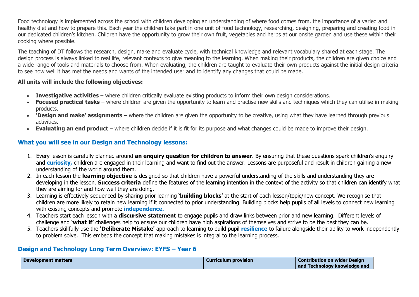Food technology is implemented across the school with children developing an understanding of where food comes from, the importance of a varied and healthy diet and how to prepare this. Each year the children take part in one unit of food technology, researching, designing, preparing and creating food in our dedicated children's kitchen. Children have the opportunity to grow their own fruit, vegetables and herbs at our onsite garden and use these within their cooking where possible.

The teaching of DT follows the research, design, make and evaluate cycle, with technical knowledge and relevant vocabulary shared at each stage. The design process is always linked to real life, relevant contexts to give meaning to the learning. When making their products, the children are given choice and a wide range of tools and materials to choose from. When evaluating, the children are taught to evaluate their own products against the initial design criteria to see how well it has met the needs and wants of the intended user and to identify any changes that could be made.

#### **All units will include the following objectives:**

- **Investigative activities** where children critically evaluate existing products to inform their own design considerations.
- Focused practical tasks where children are given the opportunity to learn and practise new skills and techniques which they can utilise in making products.
- **'Design and make' assignments** where the children are given the opportunity to be creative, using what they have learned through previous activities.
- **Evaluating an end product** where children decide if it is fit for its purpose and what changes could be made to improve their design.

# **What you will see in our Design and Technology lessons:**

- 1. Every lesson is carefully planned around **an enquiry question for children to answer**. By ensuring that these questions spark children's enquiry and **curiosity,** children are engaged in their learning and want to find out the answer. Lessons are purposeful and result in children gaining a new understanding of the world around them.
- 2. In each lesson the **learning objective** is designed so that children have a powerful understanding of the skills and understanding they are developing in the lesson. **Success criteria** define the features of the learning intention in the context of the activity so that children can identify what they are aiming for and how well they are doing.
- 3. Learning is effectively sequenced by sharing prior learning **'building blocks'** at the start of each lesson/topic/new concept. We recognise that children are more likely to retain new learning if it connected to prior understanding. Building blocks help pupils of all levels to connect new learning with existing concepts and promote **independence.**
- 4. Teachers start each lesson with a **discursive statement** to engage pupils and draw links between prior and new learning. Different levels of challenge and **'what if'** challenges help to ensure our children have high aspirations of themselves and strive to be the best they can be.
- 5. Teachers skillfully use the **'Deliberate Mistake'** approach to learning to build pupil **resilience** to failure alongside their ability to work independently to problem solve. This embeds the concept that making mistakes is integral to the learning process.

## **Design and Technology Long Term Overview: EYFS – Year 6**

| <b>Development matters</b> | <b>Curriculum provision</b> | <b>Contribution on wider Design</b> |
|----------------------------|-----------------------------|-------------------------------------|
|                            |                             | and Technology knowledge and        |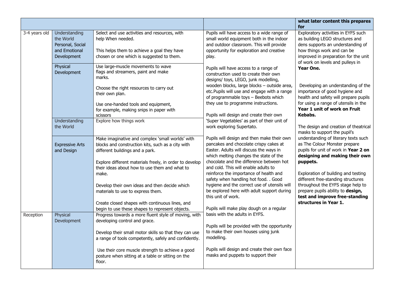|               |                                                                                |                                                                                                                                                                                                                                                                                                                                                     |                                                                                                                                                                                                                                                                                                                                                                                                                                                | what later content this prepares                                                                                                                                                                                                                                                                                   |
|---------------|--------------------------------------------------------------------------------|-----------------------------------------------------------------------------------------------------------------------------------------------------------------------------------------------------------------------------------------------------------------------------------------------------------------------------------------------------|------------------------------------------------------------------------------------------------------------------------------------------------------------------------------------------------------------------------------------------------------------------------------------------------------------------------------------------------------------------------------------------------------------------------------------------------|--------------------------------------------------------------------------------------------------------------------------------------------------------------------------------------------------------------------------------------------------------------------------------------------------------------------|
|               |                                                                                |                                                                                                                                                                                                                                                                                                                                                     |                                                                                                                                                                                                                                                                                                                                                                                                                                                | for                                                                                                                                                                                                                                                                                                                |
| 3-4 years old | Understanding<br>the World<br>Personal, Social<br>and Emotional<br>Development | Select and use activities and resources, with<br>help When needed.<br>This helps them to achieve a goal they have<br>chosen or one which is suggested to them.                                                                                                                                                                                      | Pupils will have access to a wide range of<br>small world equipment both in the indoor<br>and outdoor classroom. This will provide<br>opportunity for exploration and creative<br>play.                                                                                                                                                                                                                                                        | Exploratory activities in EYFS such<br>as building LEGO structures and<br>dens supports an understanding of<br>how things work and can be<br>improved in preparation for the unit<br>of work on levels and pulleys in                                                                                              |
|               | Physical<br>Development                                                        | Use large-muscle movements to wave<br>flags and streamers, paint and make<br>marks.                                                                                                                                                                                                                                                                 | Pupils will have access to a range of<br>construction used to create their own<br>designs/ toys, LEGO, junk modelling,                                                                                                                                                                                                                                                                                                                         | Year One.                                                                                                                                                                                                                                                                                                          |
|               |                                                                                | Choose the right resources to carry out<br>their own plan.                                                                                                                                                                                                                                                                                          | wooden blocks, large blocks - outside area,<br>etc. Pupils will use and engage with a range<br>of programmable toys - Beebots which                                                                                                                                                                                                                                                                                                            | Developing an understanding of the<br>importance of good hygiene and<br>health and safety will prepare pupils                                                                                                                                                                                                      |
|               |                                                                                | Use one-handed tools and equipment,<br>for example, making snips in paper with                                                                                                                                                                                                                                                                      | they use to programme instructions.                                                                                                                                                                                                                                                                                                                                                                                                            | for using a range of utensils in the<br>Year 1 unit of work on Fruit                                                                                                                                                                                                                                               |
|               | Understanding                                                                  | scissors<br>Explore how things work                                                                                                                                                                                                                                                                                                                 | Pupils will design and create their own<br>'Super Vegetables' as part of their unit of                                                                                                                                                                                                                                                                                                                                                         | Kebabs.                                                                                                                                                                                                                                                                                                            |
|               | the World                                                                      |                                                                                                                                                                                                                                                                                                                                                     | work exploring Supertato.                                                                                                                                                                                                                                                                                                                                                                                                                      | The design and creation of theatrical<br>masks to support the pupil's                                                                                                                                                                                                                                              |
|               | <b>Expressive Arts</b><br>and Design                                           | Make imaginative and complex 'small worlds' with<br>blocks and construction kits, such as a city with<br>different buildings and a park.<br>Explore different materials freely, in order to develop<br>their ideas about how to use them and what to<br>make.<br>Develop their own ideas and then decide which<br>materials to use to express them. | Pupils will design and then make their own<br>pancakes and chocolate crispy cakes at<br>Easter. Adults will discuss the ways in<br>which melting changes the state of the<br>chocolate and the difference between hot<br>and cold. This will enable adults to<br>reinforce the importance of health and<br>safety when handling hot food. . Good<br>hygiene and the correct use of utensils will<br>be explored here with adult support during | understanding of literary texts such<br>as The Colour Monster prepare<br>pupils for unit of work in Year 2 on<br>designing and making their own<br>puppets.<br>Exploration of building and testing<br>different free-standing structures<br>throughout the EYFS stage help to<br>prepare pupils ability to design, |
|               |                                                                                | Create closed shapes with continuous lines, and<br>begin to use these shapes to represent objects.                                                                                                                                                                                                                                                  | this unit of work.<br>Pupils will make play dough on a regular                                                                                                                                                                                                                                                                                                                                                                                 | test and improve free-standing<br>structures in Year 1.                                                                                                                                                                                                                                                            |
| Reception     | Physical<br>Development                                                        | Progress towards a more fluent style of moving, with<br>developing control and grace.                                                                                                                                                                                                                                                               | basis with the adults in EYFS.                                                                                                                                                                                                                                                                                                                                                                                                                 |                                                                                                                                                                                                                                                                                                                    |
|               |                                                                                | Develop their small motor skills so that they can use<br>a range of tools competently, safely and confidently.                                                                                                                                                                                                                                      | Pupils will be provided with the opportunity<br>to make their own houses using junk<br>modelling.                                                                                                                                                                                                                                                                                                                                              |                                                                                                                                                                                                                                                                                                                    |
|               |                                                                                | Use their core muscle strength to achieve a good<br>posture when sitting at a table or sitting on the<br>floor.                                                                                                                                                                                                                                     | Pupils will design and create their own face<br>masks and puppets to support their                                                                                                                                                                                                                                                                                                                                                             |                                                                                                                                                                                                                                                                                                                    |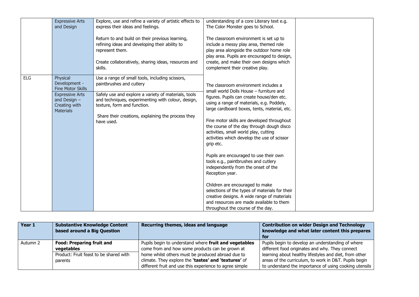|            | <b>Expressive Arts</b>                    | Explore, use and refine a variety of artistic effects to                                                                                                                                | understanding of a core Literary text e.g.                                                                                                                                                                                                                  |  |
|------------|-------------------------------------------|-----------------------------------------------------------------------------------------------------------------------------------------------------------------------------------------|-------------------------------------------------------------------------------------------------------------------------------------------------------------------------------------------------------------------------------------------------------------|--|
|            | and Design                                | express their ideas and feelings.                                                                                                                                                       | The Color Monster goes to School.                                                                                                                                                                                                                           |  |
|            |                                           | Return to and build on their previous learning,<br>refining ideas and developing their ability to<br>represent them.<br>Create collaboratively, sharing ideas, resources and<br>skills. | The classroom environment is set up to<br>include a messy play area, themed role<br>play area alongside the outdoor home role<br>play area. Pupils are encouraged to design,<br>create, and make their own designs which<br>complement their creative play. |  |
| <b>ELG</b> | Physical                                  | Use a range of small tools, including scissors,                                                                                                                                         |                                                                                                                                                                                                                                                             |  |
|            | Development -<br><b>Fine Motor Skills</b> | paintbrushes and cutlery                                                                                                                                                                | The classroom environment includes a<br>small world Dolls House - furniture and                                                                                                                                                                             |  |
|            | <b>Expressive Arts</b>                    | Safely use and explore a variety of materials, tools<br>and techniques, experimenting with colour, design,                                                                              | figures. Pupils can create house/den etc.                                                                                                                                                                                                                   |  |
|            | and Design $-$<br>Creating with           | texture, form and function.                                                                                                                                                             | using a range of materials, e.g. Poddely,                                                                                                                                                                                                                   |  |
|            | <b>Materials</b>                          |                                                                                                                                                                                         | large cardboard boxes, tents, material, etc.                                                                                                                                                                                                                |  |
|            |                                           | Share their creations, explaining the process they<br>have used.                                                                                                                        | Fine motor skills are developed throughout                                                                                                                                                                                                                  |  |
|            |                                           |                                                                                                                                                                                         | the course of the day through dough disco<br>activities, small world play, cutting                                                                                                                                                                          |  |
|            |                                           |                                                                                                                                                                                         | activities which develop the use of scissor                                                                                                                                                                                                                 |  |
|            |                                           |                                                                                                                                                                                         | grip etc.                                                                                                                                                                                                                                                   |  |
|            |                                           |                                                                                                                                                                                         | Pupils are encouraged to use their own                                                                                                                                                                                                                      |  |
|            |                                           |                                                                                                                                                                                         | tools e.g., paintbrushes and cutlery                                                                                                                                                                                                                        |  |
|            |                                           |                                                                                                                                                                                         | independently from the onset of the<br>Reception year.                                                                                                                                                                                                      |  |
|            |                                           |                                                                                                                                                                                         |                                                                                                                                                                                                                                                             |  |
|            |                                           |                                                                                                                                                                                         | Children are encouraged to make                                                                                                                                                                                                                             |  |
|            |                                           |                                                                                                                                                                                         | selections of the types of materials for their                                                                                                                                                                                                              |  |
|            |                                           |                                                                                                                                                                                         | creative designs. A wide range of materials<br>and resources are made available to them                                                                                                                                                                     |  |
|            |                                           |                                                                                                                                                                                         | throughout the course of the day.                                                                                                                                                                                                                           |  |

| Year 1   | <b>Substantive Knowledge Content</b>   | Recurring themes, ideas and language                    | <b>Contribution on wider Design and Technology</b>     |
|----------|----------------------------------------|---------------------------------------------------------|--------------------------------------------------------|
|          | based around a Big Question            |                                                         | knowledge and what later content this prepares         |
|          |                                        |                                                         | for                                                    |
| Autumn 2 | <b>Food: Preparing fruit and</b>       | Pupils begin to understand where fruit and vegetables   | Pupils begin to develop an understanding of where      |
|          | vegetables                             | come from and how some products can be grown at         | different food originates and why. They connect        |
|          | Product: Fruit feast to be shared with | home whilst others must be produced abroad due to       | learning about healthy lifestyles and diet, from other |
|          | parents                                | climate. They explore the 'tastes' and 'textures' of    | areas of the curriculum, to work in D&T. Pupils begin  |
|          |                                        | different fruit and use this experience to agree simple | to understand the importance of using cooking utensils |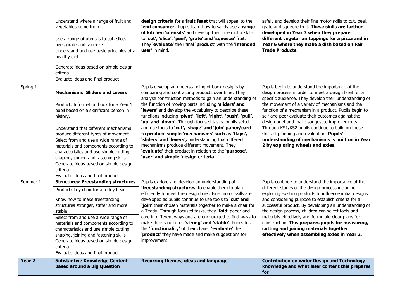|                   | Understand where a range of fruit and<br>vegetables come from<br>Use a range of utensils to cut, slice,<br>peel, grate and squeeze<br>Understand and use basic principles of a<br>healthy diet<br>Generate ideas based on simple design<br>criteria<br>Evaluate ideas and final product                                                                                                                                                                                           | design criteria for a fruit feast that will appeal to the<br>'end consumer'. Pupils learn how to safely use a range<br>of kitchen 'utensils' and develop their fine motor skills<br>to 'cut', 'slice', 'peel', 'grate' and 'squeeze' fruit.<br>They 'evaluate' their final 'product' with the 'intended<br><b>user'</b> in mind.                                                                                                                                                                                                                                                                                                                                                                                                     | safely and develop their fine motor skills to cut, peel,<br>grate and squeeze fruit. These skills are further<br>developed in Year 3 when they prepare<br>different vegetarian toppings for a pizza and in<br>Year 6 where they make a dish based on Fair<br><b>Trade Products.</b>                                                                                                                                                                                                                                                                                            |
|-------------------|-----------------------------------------------------------------------------------------------------------------------------------------------------------------------------------------------------------------------------------------------------------------------------------------------------------------------------------------------------------------------------------------------------------------------------------------------------------------------------------|--------------------------------------------------------------------------------------------------------------------------------------------------------------------------------------------------------------------------------------------------------------------------------------------------------------------------------------------------------------------------------------------------------------------------------------------------------------------------------------------------------------------------------------------------------------------------------------------------------------------------------------------------------------------------------------------------------------------------------------|--------------------------------------------------------------------------------------------------------------------------------------------------------------------------------------------------------------------------------------------------------------------------------------------------------------------------------------------------------------------------------------------------------------------------------------------------------------------------------------------------------------------------------------------------------------------------------|
| Spring 1          | <b>Mechanisms: Sliders and Levers</b><br>Product: Information book for a Year 1<br>pupil based on a significant person in<br>history.<br>Understand that different mechanisms<br>produce different types of movement<br>Select from and use a wide range of<br>materials and components according to<br>characteristics and use simple cutting,<br>shaping, joining and fastening skills<br>Generate ideas based on simple design<br>criteria<br>Evaluate ideas and final product | Pupils develop an understanding of book designs by<br>comparing and contrasting products over time. They<br>analyse construction methods to gain an understanding of<br>the function of moving parts including 'sliders' and<br>'levers' and develop the vocabulary to describe these<br>functions including 'pivot', 'left', 'right', 'push', 'pull',<br>'up' and 'down'. Through focused tasks, pupils select<br>and use tools to 'cut', 'shape' and 'join' paper/card<br>to produce simple 'mechanisms' such as 'flaps',<br>'sliders' and 'levers', understanding that different<br>mechanisms produce different movement. They<br>'evaluate' their product in relation to the 'purpose',<br>'user' and simple 'design criteria'. | Pupils begin to understand the importance of the<br>design process in order to meet a design brief for a<br>specific audience. They develop their understanding of<br>the movement of a variety of mechanisms and the<br>function of a mechanism in a product. Pupils begin to<br>self and peer evaluate their outcomes against the<br>design brief and make suggested improvements.<br>Through KS1/KS2 pupils continue to build on these<br>skills of planning and evaluation. Pupils'<br>understanding of mechanisms is built on in Year<br>2 by exploring wheels and axles. |
| Summer 1          | <b>Structures: Freestanding structures</b><br>Product: Toy chair for a teddy bear<br>Know how to make freestanding<br>structures stronger, stiffer and more<br>stable<br>Select from and use a wide range of<br>materials and components according to<br>characteristics and use simple cutting,<br>shaping, joining and fastening skills<br>Generate ideas based on simple design<br>criteria<br>Evaluate ideas and final product                                                | Pupils explore and develop an understanding of<br>'freestanding structures' to enable them to plan<br>efficiently to meet the design brief. Fine motor skills are<br>developed as pupils continue to use tools to 'cut' and<br>'join' their chosen materials together to make a chair for<br>a Teddy. Through focused tasks, they 'fold' paper and<br>card in different ways and are encouraged to find ways to<br>make their structures 'strong' and 'stable'. Pupils test<br>the 'functionality' of their chairs, 'evaluate' the<br>'product' they have made and make suggestions for<br>improvement.                                                                                                                              | Pupils continue to understand the importance of the<br>different stages of the design process including<br>exploring existing products to influence initial designs<br>and considering purpose to establish criteria for a<br>successful product. By developing an understanding of<br>the design process, children can select tools and<br>materials effectively and formulate clear plans for<br>construction. This prepares pupils for measuring,<br>cutting and joining materials together<br>effectively when assembling axles in Year 2.                                 |
| Year <sub>2</sub> | <b>Substantive Knowledge Content</b><br>based around a Big Question                                                                                                                                                                                                                                                                                                                                                                                                               | Recurring themes, ideas and language                                                                                                                                                                                                                                                                                                                                                                                                                                                                                                                                                                                                                                                                                                 | <b>Contribution on wider Design and Technology</b><br>knowledge and what later content this prepares<br>for                                                                                                                                                                                                                                                                                                                                                                                                                                                                    |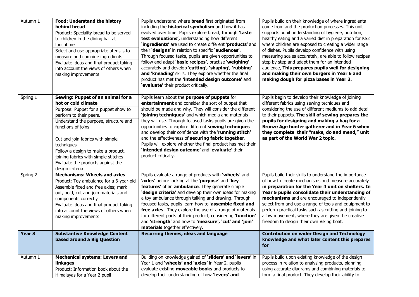| Autumn 1          | <b>Food: Understand the history</b><br>behind bread<br>Product: Speciality bread to be served<br>to children in the dining hall at<br>lunchtime<br>Select and use appropriate utensils to<br>measure and combine ingredients<br>Evaluate ideas and final product taking<br>into account the views of others when<br>making improvements                                            | Pupils understand where <b>bread</b> first originated from<br>including the <b>historical symbolism</b> and how it has<br>evolved over time. Pupils explore bread, through 'taste<br>test evaluations', understanding how different<br>'ingredients' are used to create different 'products' and<br>their 'designs' in relation to specific 'audiences'.<br>Through focused tasks, pupils are given opportunities to<br>follow and adapt 'basic recipes', practise 'weighing'<br>accurately and develop 'cutting', 'shaping', 'rubbing'<br>and 'kneading' skills. They explore whether the final<br>product has met the 'intended design outcome' and<br>'evaluate' their product critically. | Pupils build on their knowledge of where ingredients<br>come from and the production processes. This unit<br>supports pupil understanding of hygiene, nutrition,<br>healthy eating and a varied diet in preparation for KS2<br>where children are exposed to creating a wider range<br>of dishes. Pupils develop confidence with using<br>measuring scales accurately, are able to follow recipes<br>step by step and adapt them for an intended<br>audience, This prepares pupils well for designing<br>and making their own burgers in Year 6 and<br>making dough for pizza bases in Year 3. |
|-------------------|------------------------------------------------------------------------------------------------------------------------------------------------------------------------------------------------------------------------------------------------------------------------------------------------------------------------------------------------------------------------------------|-----------------------------------------------------------------------------------------------------------------------------------------------------------------------------------------------------------------------------------------------------------------------------------------------------------------------------------------------------------------------------------------------------------------------------------------------------------------------------------------------------------------------------------------------------------------------------------------------------------------------------------------------------------------------------------------------|------------------------------------------------------------------------------------------------------------------------------------------------------------------------------------------------------------------------------------------------------------------------------------------------------------------------------------------------------------------------------------------------------------------------------------------------------------------------------------------------------------------------------------------------------------------------------------------------|
| Spring 1          | Sewing: Puppet of an animal for a<br>hot or cold climate<br>Purpose: Puppet for a puppet show to<br>perform to their peers.<br>Understand the purpose, structure and<br>functions of joins<br>Cut and join fabrics with simple<br>techniques<br>Follow a design to make a product,<br>joining fabrics with simple stitches<br>Evaluate the products against the<br>design criteria | Pupils learn about the purpose of puppets for<br>entertainment and consider the sort of puppet that<br>should be made and why. They will consider the different<br>'joining techniques' and which media and materials<br>they will use. Through focused tasks pupils are given the<br>opportunities to explore different sewing techniques<br>and develop their confidence with the 'running stitch'<br>and the effectiveness of securing fabric together.<br>Pupils will explore whether the final product has met their<br>'intended design outcome' and 'evaluate' their<br>product critically.                                                                                            | Pupils begin to develop their knowledge of joining<br>different fabrics using sewing techiques and<br>considering the use of different mediums to add detail<br>to their puppets. The skill of sewing prepares the<br>pupils for designing and making a bag for a<br>Bronze Age hunter gatherer and in Year 6 when<br>they complete their "make, do and mend," unit<br>as part of the World War 2 topic.                                                                                                                                                                                       |
| Spring 2          | <b>Mechanisms: Wheels and axles</b><br>Product: Toy ambulance for a 6-year-old<br>Assemble fixed and free axles; mark<br>out, hold, cut and join materials and<br>components correctly<br>Evaluate ideas and final product taking<br>into account the views of others when<br>making improvements                                                                                  | Pupils evaluate a range of products with 'wheels' and<br>'axles' before looking at the 'purpose' and 'key<br>features' of an ambulance. They generate simple<br>'design criteria' and develop their own ideas for making<br>a toy ambulance through talking and drawing. Through<br>focused tasks, pupils learn how to 'assemble fixed and<br>free axles'. They explore the use of a range of materials<br>for different parts of their product, considering 'function'<br>and 'strength' and how to 'measure', 'cut' and 'join'<br>materials together effectively.                                                                                                                           | Pupils build their skills to understand the importance<br>of how to create mechanisms and measure accurately<br>in preparation for the Year 4 unit on shelters. In<br>Year 5 pupils consolidate their understanding of<br>mechanisms and are encouraged to independently<br>select from and use a range of tools and equipment to<br>perform practical tasks such as cutting and joining to<br>allow movement, where they are given the creative<br>freedom to design their own Viking boat.                                                                                                   |
| Year <sub>3</sub> | <b>Substantive Knowledge Content</b><br>based around a Big Question                                                                                                                                                                                                                                                                                                                | Recurring themes, ideas and language                                                                                                                                                                                                                                                                                                                                                                                                                                                                                                                                                                                                                                                          | <b>Contribution on wider Design and Technology</b><br>knowledge and what later content this prepares<br>for                                                                                                                                                                                                                                                                                                                                                                                                                                                                                    |
| Autumn 1          | <b>Mechanical systems: Levers and</b><br>linkages<br>Product: Information book about the<br>Himalayas for a Year 2 pupil                                                                                                                                                                                                                                                           | Building on knowledge gained of 'sliders' and 'levers' in<br>Year 1 and 'wheels' and 'axles' in Year 2, pupils<br>evaluate existing <b>moveable books</b> and products to<br>develop their understanding of how 'levers' and                                                                                                                                                                                                                                                                                                                                                                                                                                                                  | Pupils build upon existing knowledge of the design<br>process in relation to analysing products, planning,<br>using accurate diagrams and combining materials to<br>form a final product. They develop their ability to                                                                                                                                                                                                                                                                                                                                                                        |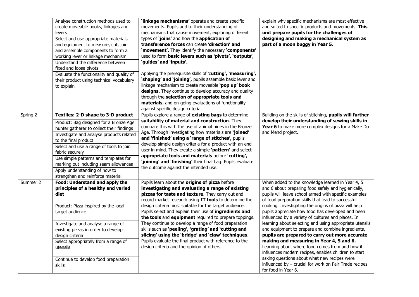|          | Analyse construction methods used to<br>create moveable books, linkages and<br>levers<br>Select and use appropriate materials<br>and equipment to measure, cut, join<br>and assemble components to form a<br>working lever or linkage mechanism<br>Understand the difference between<br>fixed and loose pivots<br>Evaluate the functionality and quality of<br>their product using technical vocabulary<br>to explain | 'linkage mechanisms' operate and create specific<br>movements. Pupils add to their understanding of<br>mechanisms that cause movement, exploring different<br>types of 'joins' and how the application of<br>transference forces can create 'direction' and<br>'movement'. They identify the necessary 'components'<br>used to form basic levers such as 'pivots', 'outputs',<br>'guides' and 'inputs'.<br>Applying the prerequisite skills of 'cutting', 'measuring',<br>'shaping' and 'joining', pupils assemble basic lever and<br>linkage mechanism to create moveable 'pop up' book<br>designs. They continue to develop accuracy and quality<br>through the selection of appropriate tools and<br>materials, and on-going evaluations of functionality<br>against specific design criteria. | explain why specific mechanisms are most effective<br>and suited to specific products and movements. This<br>unit prepare pupils for the challenges of<br>designing and making a mechanical system as<br>part of a moon buggy in Year 5.                                                                                                                                                                                                                                                                                                                                                                                                                                                                                                                                                                                                               |
|----------|-----------------------------------------------------------------------------------------------------------------------------------------------------------------------------------------------------------------------------------------------------------------------------------------------------------------------------------------------------------------------------------------------------------------------|---------------------------------------------------------------------------------------------------------------------------------------------------------------------------------------------------------------------------------------------------------------------------------------------------------------------------------------------------------------------------------------------------------------------------------------------------------------------------------------------------------------------------------------------------------------------------------------------------------------------------------------------------------------------------------------------------------------------------------------------------------------------------------------------------|--------------------------------------------------------------------------------------------------------------------------------------------------------------------------------------------------------------------------------------------------------------------------------------------------------------------------------------------------------------------------------------------------------------------------------------------------------------------------------------------------------------------------------------------------------------------------------------------------------------------------------------------------------------------------------------------------------------------------------------------------------------------------------------------------------------------------------------------------------|
| Spring 2 | Textiles: 2-D shape to 3-D product<br>Product: Bag designed for a Bronze Age<br>hunter gatherer to collect their findings<br>Investigate and analyse products related<br>to the final product<br>Select and use a range of tools to join<br>fabric securely<br>Use simple patterns and templates for<br>marking out including seam allowances<br>Apply understanding of how to<br>strengthen and reinforce material   | Pupils explore a range of existing bags to determine<br>suitability of material and construction. They<br>compare this with the use of animal hides in the Bronze<br>Age. Through investigating how materials are 'joined'<br>and 'finished' using a 'range of stitches', pupils<br>develop simple design criteria for a product with an end<br>user in mind. They create a simple 'pattern' and select<br>appropriate tools and materials before 'cutting',<br>'joining' and 'finishing' their final bag. Pupils evaluate<br>the outcome against the intended use.                                                                                                                                                                                                                               | Building on the skills of stitching, pupils will further<br>develop their understanding of sewing skills in<br>Year 6 to make more complex designs for a Make Do<br>and Mend project.                                                                                                                                                                                                                                                                                                                                                                                                                                                                                                                                                                                                                                                                  |
| Summer 2 | Food: Understand and apply the<br>principles of a healthy and varied<br>diet<br>Product: Pizza inspired by the local<br>target audience<br>Investigate and analyse a range of<br>existing pizzas in order to develop<br>design criteria<br>Select appropriately from a range of<br>utensils<br>Continue to develop food preparation<br>skills                                                                         | Pupils learn about the origins of pizza before<br>investigating and evaluating a range of existing<br>pizzas for taste and texture. They carry out and<br>record market research using IT tools to determine the<br>design criteria most suitable for the target audience.<br>Pupils select and explain their use of ingredients and<br>the tools and equipment required to prepare toppings.<br>They continue to develop a range of food preparation<br>skills such as 'peeling', 'grating' and 'cutting and<br>slicing' using the 'bridge' and 'claw' techniques.<br>Pupils evaluate the final product with reference to the<br>design criteria and the opinion of others.                                                                                                                      | When added to the knowledge learned in Year 4, 5<br>and 6 about preparing food safely and hygienically,<br>pupils will leave school armed with specific examples<br>of food preparation skills that lead to successful<br>cooking. Investigating the origins of pizza will help<br>pupils appreciate how food has developed and been<br>influenced by a variety of cultures and places. In<br>learning about selecting and using appropriate utensils<br>and equipment to prepare and combine ingredients,<br>pupils are prepared to carry out more accurate<br>making and measuring in Year 4, 5 and 6.<br>Learning about where food comes from and how it<br>influences modern recipes, enables children to start<br>asking questions about what new recipes were<br>influenced by $-$ crucial for work on Fair Trade recipes<br>for food in Year 6. |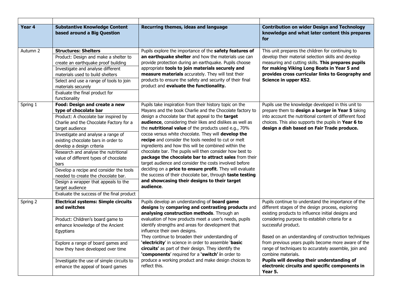| Year 4   | <b>Substantive Knowledge Content</b><br>based around a Big Question                                                                                                                                                                                                                                                                                                                                                                                                                                                                                       | Recurring themes, ideas and language                                                                                                                                                                                                                                                                                                                                                                                                                                                                                                                                                                                                                                                                                                                                                                                                    | <b>Contribution on wider Design and Technology</b><br>knowledge and what later content this prepares<br>for                                                                                                                                                                                                                                                                                                                           |
|----------|-----------------------------------------------------------------------------------------------------------------------------------------------------------------------------------------------------------------------------------------------------------------------------------------------------------------------------------------------------------------------------------------------------------------------------------------------------------------------------------------------------------------------------------------------------------|-----------------------------------------------------------------------------------------------------------------------------------------------------------------------------------------------------------------------------------------------------------------------------------------------------------------------------------------------------------------------------------------------------------------------------------------------------------------------------------------------------------------------------------------------------------------------------------------------------------------------------------------------------------------------------------------------------------------------------------------------------------------------------------------------------------------------------------------|---------------------------------------------------------------------------------------------------------------------------------------------------------------------------------------------------------------------------------------------------------------------------------------------------------------------------------------------------------------------------------------------------------------------------------------|
| Autumn 2 | <b>Structures: Shelters</b><br>Product: Design and make a shelter to<br>create an earthquake proof building<br>Investigate and analyse different<br>materials used to build shelters<br>Select and use a range of tools to join<br>materials securely<br>Evaluate the final product for<br>functionality                                                                                                                                                                                                                                                  | Pupils explore the importance of the safety features of<br>an earthquake shelter and how the materials use can<br>provide protection during an earthquake. Pupils choose<br>appropriate tools to join materials securely and<br>measure materials accurately. They will test their<br>products to ensure the safety and security of their final<br>product and evaluate the functionality.                                                                                                                                                                                                                                                                                                                                                                                                                                              | This unit prepares the children for continuing to<br>develop their material selection skills and develop<br>measuring and cutting skills. This prepares pupils<br>for making Viking Long Boats in Year 5 and<br>provides cross curricular links to Geography and<br>Science in upper KS2.                                                                                                                                             |
| Spring 1 | Food: Design and create a new<br>type of chocolate bar<br>Product: A chocolate bar inspired by<br>Charlie and the Chocolate Factory for a<br>target audience<br>Investigate and analyse a range of<br>existing chocolate bars in order to<br>develop a design criteria<br>Research and analyse the nutritional<br>value of different types of chocolate<br>bars<br>Develop a recipe and consider the tools<br>needed to create the chocolate bar.<br>Design a wrapper that appeals to the<br>target audience<br>Evaluate the success of the final product | Pupils take inspiration from their history topic on the<br>Mayans and the book Charlie and the Chocolate factory to<br>design a chocolate bar that appeal to the target<br>audience, considering their likes and dislikes as well as<br>the nutritional value of the products used e.g., 70%<br>cocoa versus white chocolate. They will develop the<br>recipe and consider the tools needed to cut or melt<br>ingredients and how this will be combined within the<br>chocolate bar. The pupils will then consider how best to<br>package the chocolate bar to attract sales from their<br>target audience and consider the costs involved before<br>deciding on a price to ensure profit. They will evaluate<br>the success of their chocolate bar, through taste testing<br>and showcasing their designs to their target<br>audience. | Pupils use the knowledge developed in this unit to<br>prepare them to design a burger in Year 5 taking<br>into account the nutritional content of different food<br>choices. This also supports the pupils in Year 6 to<br>design a dish based on Fair Trade produce.                                                                                                                                                                 |
| Spring 2 | <b>Electrical systems: Simple circuits</b><br>and switches<br>Product: Children's board game to<br>enhance knowledge of the Ancient<br>Egyptians<br>Explore a range of board games and<br>how they have developed over time                                                                                                                                                                                                                                                                                                                               | Pupils develop an understanding of board game<br>designs by comparing and contrasting products and<br>analysing construction methods. Through an<br>evaluation of how products meet a user's needs, pupils<br>identify strengths and areas for development that<br>influence their own designs.<br>They continue to broaden their understanding of<br>'electricity' in science in order to assemble 'basic<br>circuits' as part of their design. They identify the<br>'components' required for a 'switch' in order to                                                                                                                                                                                                                                                                                                                  | Pupils continue to understand the importance of the<br>different stages of the design process, exploring<br>existing products to influence initial designs and<br>considering purpose to establish criteria for a<br>successful product.<br>Based on an understanding of construction techniques<br>from previous years pupils become more aware of the<br>range of techniques to accurately assemble, join and<br>combine materials. |
|          | Investigate the use of simple circuits to<br>enhance the appeal of board games                                                                                                                                                                                                                                                                                                                                                                                                                                                                            | produce a working product and make design choices to<br>reflect this.                                                                                                                                                                                                                                                                                                                                                                                                                                                                                                                                                                                                                                                                                                                                                                   | Pupils will develop their understanding of<br>electronic circuits and specific components in<br>Year 5.                                                                                                                                                                                                                                                                                                                               |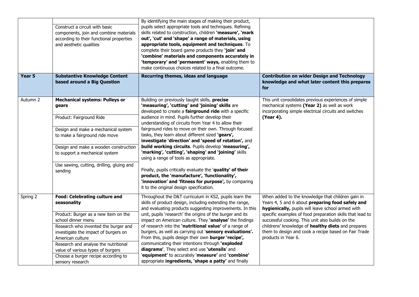|                   | Construct a circuit with basic<br>components, join and combine materials<br>according to their functional properties<br>and aesthetic qualities                                                                                                                                                        | By identifying the main stages of making their product,<br>pupils select appropriate tools and techniques. Refining<br>skills related to construction, children 'measure', 'mark<br>out', 'cut' and 'shape' a range of materials, using<br>appropriate tools, equipment and techniques. To<br>complete their board game products they 'join' and<br>'combine' materials and components accurately in<br>'temporary' and 'permanent' ways, enabling them to<br>make continuous choices related to a final outcome.         |                                                                                                                                                                                                                                                    |
|-------------------|--------------------------------------------------------------------------------------------------------------------------------------------------------------------------------------------------------------------------------------------------------------------------------------------------------|---------------------------------------------------------------------------------------------------------------------------------------------------------------------------------------------------------------------------------------------------------------------------------------------------------------------------------------------------------------------------------------------------------------------------------------------------------------------------------------------------------------------------|----------------------------------------------------------------------------------------------------------------------------------------------------------------------------------------------------------------------------------------------------|
| Year <sub>5</sub> | <b>Substantive Knowledge Content</b><br>based around a Big Question                                                                                                                                                                                                                                    | Recurring themes, ideas and language                                                                                                                                                                                                                                                                                                                                                                                                                                                                                      | <b>Contribution on wider Design and Technology</b><br>knowledge and what later content this prepares<br>for                                                                                                                                        |
| Autumn 2          | <b>Mechanical systems: Pulleys or</b><br>gears<br>Product: Fairground Ride                                                                                                                                                                                                                             | Building on previously taught skills, precise<br>'measuring', 'cutting' and 'joining' skills are<br>developed to create a fairground ride with a specific<br>audience in mind. Pupils further develop their                                                                                                                                                                                                                                                                                                               | This unit consolidates previous experiences of simple<br>mechanical systems (Year 2) as well as work<br>incorporating simple electrical circuits and switches<br>(Year 4).                                                                         |
|                   | Design and make a mechanical system<br>to make a fairground ride move<br>Design and make a wooden construction                                                                                                                                                                                         | understanding of circuits from Year 4 to allow their<br>fairground rides to move on their own. Through focused<br>tasks, they learn about different sized 'gears',<br>investigate 'direction' and 'speed of rotation', and<br>build working circuits. Pupils develop 'measuring',                                                                                                                                                                                                                                         |                                                                                                                                                                                                                                                    |
|                   | to support a mechanical system                                                                                                                                                                                                                                                                         | 'marking', 'cutting', 'shaping' and 'joining' skills<br>using a range of tools as appropriate.                                                                                                                                                                                                                                                                                                                                                                                                                            |                                                                                                                                                                                                                                                    |
|                   | Use sawing, cutting, drilling, gluing and<br>sanding                                                                                                                                                                                                                                                   | Finally, pupils critically evaluate the 'quality' of their<br>product, the 'manufacture', 'functionality',<br>'innovation' and 'fitness for purpose', by comparing<br>it to the original design specification.                                                                                                                                                                                                                                                                                                            |                                                                                                                                                                                                                                                    |
| Spring 2          | Food: Celebrating culture and<br>seasonality                                                                                                                                                                                                                                                           | Throughout the D&T curriculum in KS2, pupils learn the<br>skills of product design, including extending the range,<br>and evaluating products suggesting improvements. In this                                                                                                                                                                                                                                                                                                                                            | When added to the knowledge that children gain in<br>Years 4, 5 and 6 about preparing food safely and<br>hygienically, pupils will leave school armed with                                                                                         |
|                   | Product: Burger as a new item on the<br>school dinner menu<br>Research who invented the burger and<br>investigate the impact of burgers on<br>American culture<br>Research and analyse the nutritional<br>value of various types of burgers<br>Choose a burger recipe according to<br>sensory research | unit, pupils 'research' the origins of the burger and its<br>impact on American culture. They 'analyse' the findings<br>of research into the 'nutritional value' of a range of<br>burgers, as well as carrying out 'sensory evaluations'.<br>From this, pupils design their own <b>burger</b> 'recipe',<br>communicating their intentions through 'exploded<br>diagrams'. They select and use 'utensils' and<br>'equipment' to accurately 'measure' and 'combine'<br>appropriate ingredients, 'shape a patty' and finally | specific examples of food preparation skills that lead to<br>successful cooking. This unit also builds on the<br>childrens' knowledge of healthy diets and prepares<br>them to design and cook a recipe based on Fair Trade<br>products in Year 6. |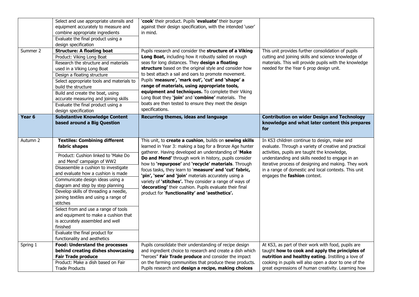|                   | Select and use appropriate utensils and<br>equipment accurately to measure and<br>combine appropriate ingredients<br>Evaluate the final product using a<br>design specification                                                                                                                                                                                                                                                                                                                                                                                                  | 'cook' their product. Pupils 'evaluate' their burger<br>against their design specification, with the intended 'user'<br>in mind.                                                                                                                                                                                                                                                                                                                                                                                                                                                    |                                                                                                                                                                                                                                                                                                                                                          |
|-------------------|----------------------------------------------------------------------------------------------------------------------------------------------------------------------------------------------------------------------------------------------------------------------------------------------------------------------------------------------------------------------------------------------------------------------------------------------------------------------------------------------------------------------------------------------------------------------------------|-------------------------------------------------------------------------------------------------------------------------------------------------------------------------------------------------------------------------------------------------------------------------------------------------------------------------------------------------------------------------------------------------------------------------------------------------------------------------------------------------------------------------------------------------------------------------------------|----------------------------------------------------------------------------------------------------------------------------------------------------------------------------------------------------------------------------------------------------------------------------------------------------------------------------------------------------------|
| Summer 2          | <b>Structure: A floating boat</b><br>Product: Viking Long Boat<br>Research the structure and materials<br>used in a Viking Long Boat<br>Design a floating structure<br>Select appropriate tools and materials to<br>build the structure<br>Build and create the boat, using<br>accurate measuring and joining skills<br>Evaluate the final product using a<br>design specification                                                                                                                                                                                               | Pupils research and consider the structure of a Viking<br>Long Boat, including how it robustly sailed on rough<br>seas for long distances. They design a floating<br>structure based on the original style and consider how<br>to best attach a sail and oars to promote movement.<br>Pupils 'measure', 'mark out', 'cut' and 'shape' a<br>range of materials, using appropriate tools,<br>equipment and techniques. To complete their Viking<br>Long Boat they 'join' and 'combine' materials. The<br>boats are then tested to ensure they meet the design<br>specifications.      | This unit provides further consolidation of pupils<br>cutting and joining skills and science knowledge of<br>materials. This will provide pupils with the knowledge<br>needed for the Year 6 prop design unit.                                                                                                                                           |
| Year <sub>6</sub> | <b>Substantive Knowledge Content</b><br>based around a Big Question                                                                                                                                                                                                                                                                                                                                                                                                                                                                                                              | Recurring themes, ideas and language                                                                                                                                                                                                                                                                                                                                                                                                                                                                                                                                                | <b>Contribution on wider Design and Technology</b><br>knowledge and what later content this prepares<br>for                                                                                                                                                                                                                                              |
| Autumn 2          | <b>Textiles: Combining different</b><br>fabric shapes<br>Product: Cushion linked to 'Make Do<br>and Mend' campaign of WW2<br>Disassemble a cushion to investigate<br>and evaluate how a cushion is made<br>Communicate design ideas using a<br>diagram and step by step planning<br>Develop skills of threading a needle,<br>joining textiles and using a range of<br>stitches<br>Select from and use a range of tools<br>and equipment to make a cushion that<br>is accurately assembled and well<br>finished<br>Evaluate the final product for<br>functionality and aesthetics | This unit, to create a cushion, builds on sewing skills<br>learned in Year 3: making a bag for a Bronze Age hunter<br>gatherer. Having developed an understanding of 'Make<br>Do and Mend' through work in history, pupils consider<br>how to 'repurpose' and 'recycle' materials. Through<br>focus tasks, they learn to 'measure' and 'cut' fabric,<br>'pin', 'sew' and 'join' materials accurately using a<br>variety of 'stitches'. They consider a range of ways of<br>'decorating' their cushion. Pupils evaluate their final<br>product for 'functionality' and 'aesthetics'. | In KS3 children continue to design, make and<br>evaluate. Through a variety of creative and practical<br>activities, pupils are taught the knowledge,<br>understanding and skills needed to engage in an<br>iterative process of designing and making. They work<br>in a range of domestic and local contexts. This unit<br>engages the fashion context. |
| Spring 1          | <b>Food: Understand the processes</b><br>behind creating dishes showcasing<br><b>Fair Trade produce</b><br>Product: Make a dish based on Fair<br><b>Trade Products</b>                                                                                                                                                                                                                                                                                                                                                                                                           | Pupils consolidate their understanding of recipe design<br>and ingredient choice to research and create a dish which<br>"heroes" Fair Trade produce and consider the impact<br>on the farming communities that produce these products.<br>Pupils research and design a recipe, making choices                                                                                                                                                                                                                                                                                       | At KS3, as part of their work with food, pupils are<br>taught how to cook and apply the principles of<br>nutrition and healthy eating. Instilling a love of<br>cooking in pupils will also open a door to one of the<br>great expressions of human creativity. Learning how                                                                              |